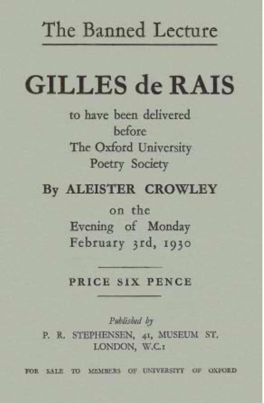# The Banned Lecture

# **GILLES de RAIS**

to have been delivered before The Oxford University Poetry Society

## By ALEISTER CROWLEY

on the Evening of Monday February 3rd, 1930

## PRICE SIX PENCE

Published by P. R. STEPHENSEN, 41, MUSEUM ST. LONDON, W.C.I

FOR SALE TO MEMBERS OF UNIVERSITY OF OXFORD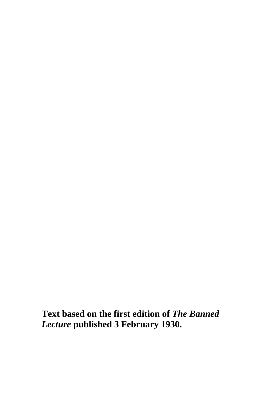**Text based on the first edition of** *The Banned Lecture* **published 3 February 1930.**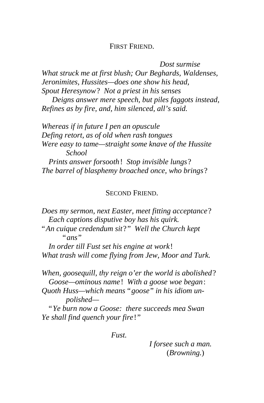#### FIRST FRIEND.

*Dost surmise What struck me at first blush; Our Beghards, Waldenses, Jeronimites, Hussites—does one show his head, Spout Heresynow*? *Not a priest in his senses Deigns answer mere speech, but piles faggots instead,* 

*Refines as by fire, and, him silenced, all's said.* 

*Whereas if in future I pen an opuscule Defing retort, as of old when rash tongues Were easy to tame—straight some knave of the Hussite School Prints answer forsooth*! *Stop invisible lungs*? *The barrel of blasphemy broached once, who brings*?

#### SECOND FRIEND.

*Does my sermon, next Easter, meet fitting acceptance*? *Each captions disputive boy has his quirk.*  "*An cuique credendum sit*? " *Well the Church kept*  "*ans*"

*In order till Fust set his engine at work*! *What trash will come flying from Jew, Moor and Turk.* 

*When, goosequill, thy reign o'er the world is abolished*? *Goose—ominous name*! *With a goose woe began*: *Quoth Huss—which means* "*goose*" *in his idiom unpolished—* 

"*Ye burn now a Goose: there succeeds mea Swan Ye shall find quench your fire*!"

*Fust.* 

*I forsee such a man.*  (*Browning.*)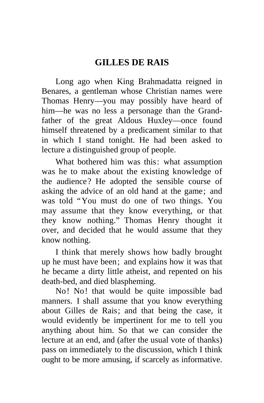### **GILLES DE RAIS**

Long ago when King Brahmadatta reigned in Benares, a gentleman whose Christian names were Thomas Henry—you may possibly have heard of him—he was no less a personage than the Grandfather of the great Aldous Huxley—once found himself threatened by a predicament similar to that in which I stand tonight. He had been asked to lecture a distinguished group of people.

What bothered him was this: what assumption was he to make about the existing knowledge of the audience? He adopted the sensible course of asking the advice of an old hand at the game; and was told "You must do one of two things. You may assume that they know everything, or that they know nothing." Thomas Henry thought it over, and decided that he would assume that they know nothing.

I think that merely shows how badly brought up he must have been; and explains how it was that he became a dirty little atheist, and repented on his death-bed, and died blaspheming.

No! No! that would be quite impossible bad manners. I shall assume that you know everything about Gilles de Rais; and that being the case, it would evidently be impertinent for me to tell you anything about him. So that we can consider the lecture at an end, and (after the usual vote of thanks) pass on immediately to the discussion, which I think ought to be more amusing, if scarcely as informative.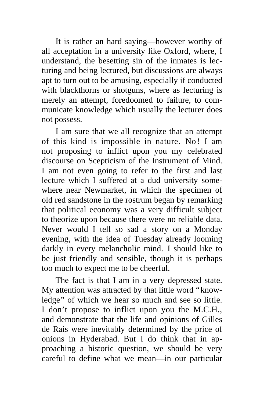It is rather an hard saying—however worthy of all acceptation in a university like Oxford, where, I understand, the besetting sin of the inmates is lecturing and being lectured, but discussions are always apt to turn out to be amusing, especially if conducted with blackthorns or shotguns, where as lecturing is merely an attempt, foredoomed to failure, to communicate knowledge which usually the lecturer does not possess.

I am sure that we all recognize that an attempt of this kind is impossible in nature. No! I am not proposing to inflict upon you my celebrated discourse on Scepticism of the Instrument of Mind. I am not even going to refer to the first and last lecture which I suffered at a dud university somewhere near Newmarket, in which the specimen of old red sandstone in the rostrum began by remarking that political economy was a very difficult subject to theorize upon because there were no reliable data. Never would I tell so sad a story on a Monday evening, with the idea of Tuesday already looming darkly in every melancholic mind. I should like to be just friendly and sensible, though it is perhaps too much to expect me to be cheerful.

The fact is that I am in a very depressed state. My attention was attracted by that little word "knowledge" of which we hear so much and see so little. I don't propose to inflict upon you the M.C.H., and demonstrate that the life and opinions of Gilles de Rais were inevitably determined by the price of onions in Hyderabad. But I do think that in approaching a historic question, we should be very careful to define what we mean—in our particular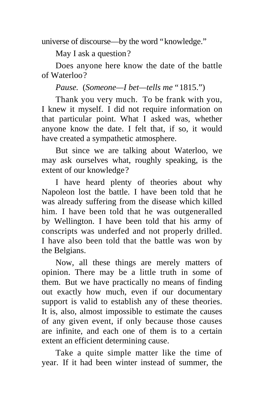universe of discourse—by the word "knowledge."

May I ask a question?

Does anyone here know the date of the battle of Waterloo?

*Pause.* (*Someone—I bet—tells me* "1815.")

Thank you very much. To be frank with you, I knew it myself. I did not require information on that particular point. What I asked was, whether anyone know the date. I felt that, if so, it would have created a sympathetic atmosphere.

But since we are talking about Waterloo, we may ask ourselves what, roughly speaking, is the extent of our knowledge?

I have heard plenty of theories about why Napoleon lost the battle. I have been told that he was already suffering from the disease which killed him. I have been told that he was outgeneralled by Wellington. I have been told that his army of conscripts was underfed and not properly drilled. I have also been told that the battle was won by the Belgians.

Now, all these things are merely matters of opinion. There may be a little truth in some of them. But we have practically no means of finding out exactly how much, even if our documentary support is valid to establish any of these theories. It is, also, almost impossible to estimate the causes of any given event, if only because those causes are infinite, and each one of them is to a certain extent an efficient determining cause.

Take a quite simple matter like the time of year. If it had been winter instead of summer, the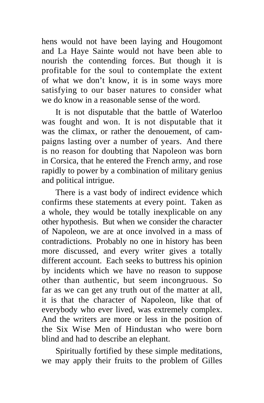hens would not have been laying and Hougomont and La Haye Sainte would not have been able to nourish the contending forces. But though it is profitable for the soul to contemplate the extent of what we don't know, it is in some ways more satisfying to our baser natures to consider what we do know in a reasonable sense of the word.

It is not disputable that the battle of Waterloo was fought and won. It is not disputable that it was the climax, or rather the denouement, of campaigns lasting over a number of years. And there is no reason for doubting that Napoleon was born in Corsica, that he entered the French army, and rose rapidly to power by a combination of military genius and political intrigue.

There is a vast body of indirect evidence which confirms these statements at every point. Taken as a whole, they would be totally inexplicable on any other hypothesis. But when we consider the character of Napoleon, we are at once involved in a mass of contradictions. Probably no one in history has been more discussed, and every writer gives a totally different account. Each seeks to buttress his opinion by incidents which we have no reason to suppose other than authentic, but seem incongruous. So far as we can get any truth out of the matter at all, it is that the character of Napoleon, like that of everybody who ever lived, was extremely complex. And the writers are more or less in the position of the Six Wise Men of Hindustan who were born blind and had to describe an elephant.

Spiritually fortified by these simple meditations, we may apply their fruits to the problem of Gilles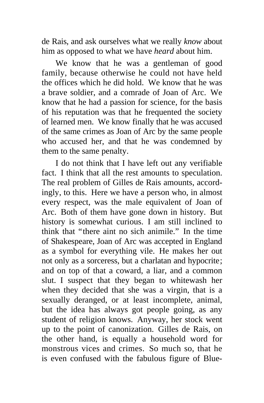de Rais, and ask ourselves what we really *know* about him as opposed to what we have *heard* about him.

We know that he was a gentleman of good family, because otherwise he could not have held the offices which he did hold. We know that he was a brave soldier, and a comrade of Joan of Arc. We know that he had a passion for science, for the basis of his reputation was that he frequented the society of learned men. We know finally that he was accused of the same crimes as Joan of Arc by the same people who accused her, and that he was condemned by them to the same penalty.

I do not think that I have left out any verifiable fact. I think that all the rest amounts to speculation. The real problem of Gilles de Rais amounts, accordingly, to this. Here we have a person who, in almost every respect, was the male equivalent of Joan of Arc. Both of them have gone down in history. But history is somewhat curious. I am still inclined to think that "there aint no sich animile." In the time of Shakespeare, Joan of Arc was accepted in England as a symbol for everything vile. He makes her out not only as a sorceress, but a charlatan and hypocrite; and on top of that a coward, a liar, and a common slut. I suspect that they began to whitewash her when they decided that she was a virgin, that is a sexually deranged, or at least incomplete, animal, but the idea has always got people going, as any student of religion knows. Anyway, her stock went up to the point of canonization. Gilles de Rais, on the other hand, is equally a household word for monstrous vices and crimes. So much so, that he is even confused with the fabulous figure of Blue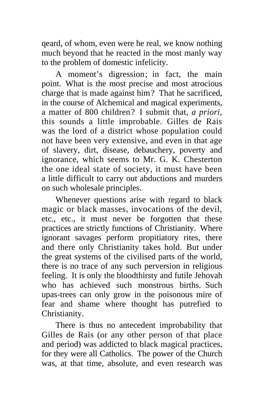qeard, of whom, even were he real, we know nothing much beyond that he reacted in the most manly way to the problem of domestic infelicity.

A moment's digression; in fact, the main point. What is the most precise and most atrocious charge that is made against him? That he sacrificed, in the course of Alchemical and magical experiments, a matter of 800 children? I submit that, *a priori*, this sounds a little improbable. Gilles de Rais was the lord of a district whose population could not have been very extensive, and even in that age of slavery, dirt, disease, debauchery, poverty and ignorance, which seems to Mr. G. K. Chesterton the one ideal state of society, it must have been a little difficult to carry out abductions and murders on such wholesale principles.

Whenever questions arise with regard to black magic or black masses, invocations of the devil, etc., etc., it must never be forgotten that these practices are strictly functions of Christianity. Where ignorant savages perform propitiatory rites, there and there only Christianity takes hold. But under the great systems of the civilised parts of the world, there is no trace of any such perversion in religious feeling. It is only the bloodthirsty and futile Jehovah who has achieved such monstrous births. Such upas-trees can only grow in the poisonous mire of fear and shame where thought has putrefied to Christianity.

There is thus no antecedent improbability that Gilles de Rais (or any other person of that place and period) was addicted to black magical practices, for they were all Catholics. The power of the Church was, at that time, absolute, and even research was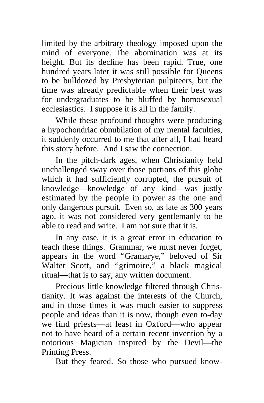limited by the arbitrary theology imposed upon the mind of everyone. The abomination was at its height. But its decline has been rapid. True, one hundred years later it was still possible for Queens to be bulldozed by Presbyterian pulpiteers, but the time was already predictable when their best was for undergraduates to be bluffed by homosexual ecclesiastics. I suppose it is all in the family.

While these profound thoughts were producing a hypochondriac obnubilation of my mental faculties, it suddenly occurred to me that after all, I had heard this story before. And I saw the connection.

In the pitch-dark ages, when Christianity held unchallenged sway over those portions of this globe which it had sufficiently corrupted, the pursuit of knowledge—knowledge of any kind—was justly estimated by the people in power as the one and only dangerous pursuit. Even so, as late as 300 years ago, it was not considered very gentlemanly to be able to read and write. I am not sure that it is.

In any case, it is a great error in education to teach these things. Grammar, we must never forget, appears in the word "Gramarye," beloved of Sir Walter Scott, and "grimoire," a black magical ritual—that is to say, any written document.

Precious little knowledge filtered through Christianity. It was against the interests of the Church, and in those times it was much easier to suppress people and ideas than it is now, though even to-day we find priests—at least in Oxford—who appear not to have heard of a certain recent invention by a notorious Magician inspired by the Devil—the Printing Press.

But they feared. So those who pursued know-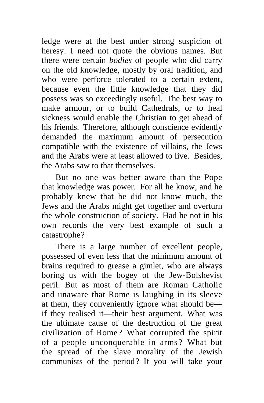ledge were at the best under strong suspicion of heresy. I need not quote the obvious names. But there were certain *bodies* of people who did carry on the old knowledge, mostly by oral tradition, and who were perforce tolerated to a certain extent, because even the little knowledge that they did possess was so exceedingly useful. The best way to make armour, or to build Cathedrals, or to heal sickness would enable the Christian to get ahead of his friends. Therefore, although conscience evidently demanded the maximum amount of persecution compatible with the existence of villains, the Jews and the Arabs were at least allowed to live. Besides, the Arabs saw to that themselves.

But no one was better aware than the Pope that knowledge was power. For all he know, and he probably knew that he did not know much, the Jews and the Arabs might get together and overturn the whole construction of society. Had he not in his own records the very best example of such a catastrophe?

There is a large number of excellent people, possessed of even less that the minimum amount of brains required to grease a gimlet, who are always boring us with the bogey of the Jew-Bolshevist peril. But as most of them are Roman Catholic and unaware that Rome is laughing in its sleeve at them, they conveniently ignore what should be if they realised it—their best argument. What was the ultimate cause of the destruction of the great civilization of Rome ? What corrupted the spirit of a people unconquerable in arms ? What but the spread of the slave morality of the Jewish communists of the period? If you will take your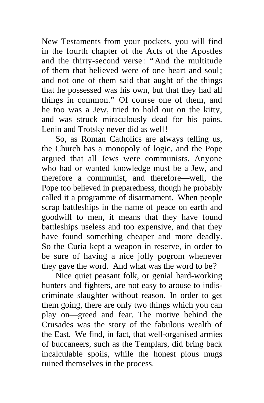New Testaments from your pockets, you will find in the fourth chapter of the Acts of the Apostles and the thirty-second verse: "And the multitude of them that believed were of one heart and soul; and not one of them said that aught of the things that he possessed was his own, but that they had all things in common." Of course one of them, and he too was a Jew, tried to hold out on the kitty, and was struck miraculously dead for his pains. Lenin and Trotsky never did as well!

So, as Roman Catholics are always telling us, the Church has a monopoly of logic, and the Pope argued that all Jews were communists. Anyone who had or wanted knowledge must be a Jew, and therefore a communist, and therefore—well, the Pope too believed in preparedness, though he probably called it a programme of disarmament. When people scrap battleships in the name of peace on earth and goodwill to men, it means that they have found battleships useless and too expensive, and that they have found something cheaper and more deadly. So the Curia kept a weapon in reserve, in order to be sure of having a nice jolly pogrom whenever they gave the word. And what was the word to be?

Nice quiet peasant folk, or genial hard-working hunters and fighters, are not easy to arouse to indiscriminate slaughter without reason. In order to get them going, there are only two things which you can play on—greed and fear. The motive behind the Crusades was the story of the fabulous wealth of the East. We find, in fact, that well-organised armies of buccaneers, such as the Templars, did bring back incalculable spoils, while the honest pious mugs ruined themselves in the process.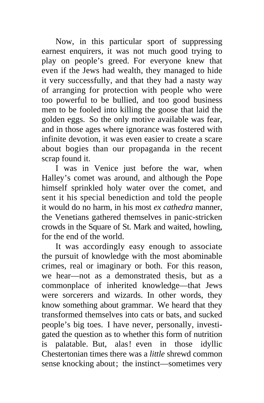Now, in this particular sport of suppressing earnest enquirers, it was not much good trying to play on people's greed. For everyone knew that even if the Jews had wealth, they managed to hide it very successfully, and that they had a nasty way of arranging for protection with people who were too powerful to be bullied, and too good business men to be fooled into killing the goose that laid the golden eggs. So the only motive available was fear, and in those ages where ignorance was fostered with infinite devotion, it was even easier to create a scare about bogies than our propaganda in the recent scrap found it.

I was in Venice just before the war, when Halley's comet was around, and although the Pope himself sprinkled holy water over the comet, and sent it his special benediction and told the people it would do no harm, in his most *ex cathedra* manner, the Venetians gathered themselves in panic-stricken crowds in the Square of St. Mark and waited, howling, for the end of the world.

It was accordingly easy enough to associate the pursuit of knowledge with the most abominable crimes, real or imaginary or both. For this reason, we hear—not as a demonstrated thesis, but as a commonplace of inherited knowledge—that Jews were sorcerers and wizards. In other words, they know something about grammar. We heard that they transformed themselves into cats or bats, and sucked people's big toes. I have never, personally, investigated the question as to whether this form of nutrition is palatable. But, alas! even in those idyllic Chestertonian times there was a *little* shrewd common sense knocking about; the instinct—sometimes very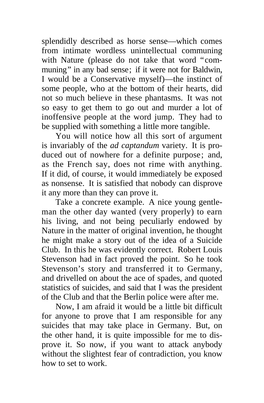splendidly described as horse sense—which comes from intimate wordless unintellectual communing with Nature (please do not take that word "communing" in any bad sense; if it were not for Baldwin, I would be a Conservative myself)—the instinct of some people, who at the bottom of their hearts, did not so much believe in these phantasms. It was not so easy to get them to go out and murder a lot of inoffensive people at the word jump. They had to be supplied with something a little more tangible.

You will notice how all this sort of argument is invariably of the *ad captandum* variety. It is produced out of nowhere for a definite purpose; and, as the French say, does not rime with anything. If it did, of course, it would immediately be exposed as nonsense. It is satisfied that nobody can disprove it any more than they can prove it.

Take a concrete example. A nice young gentleman the other day wanted (very properly) to earn his living, and not being peculiarly endowed by Nature in the matter of original invention, he thought he might make a story out of the idea of a Suicide Club. In this he was evidently correct. Robert Louis Stevenson had in fact proved the point. So he took Stevenson's story and transferred it to Germany, and drivelled on about the ace of spades, and quoted statistics of suicides, and said that I was the president of the Club and that the Berlin police were after me.

Now, I am afraid it would be a little bit difficult for anyone to prove that I am responsible for any suicides that may take place in Germany. But, on the other hand, it is quite impossible for me to disprove it. So now, if you want to attack anybody without the slightest fear of contradiction, you know how to set to work.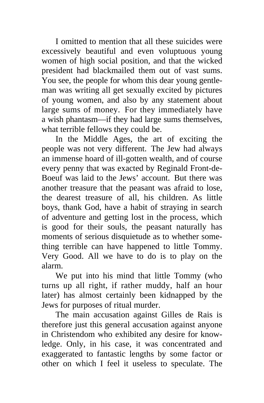I omitted to mention that all these suicides were excessively beautiful and even voluptuous young women of high social position, and that the wicked president had blackmailed them out of vast sums. You see, the people for whom this dear young gentleman was writing all get sexually excited by pictures of young women, and also by any statement about large sums of money. For they immediately have a wish phantasm—if they had large sums themselves, what terrible fellows they could be.

In the Middle Ages, the art of exciting the people was not very different. The Jew had always an immense hoard of ill-gotten wealth, and of course every penny that was exacted by Reginald Front-de-Boeuf was laid to the Jews' account. But there was another treasure that the peasant was afraid to lose, the dearest treasure of all, his children. As little boys, thank God, have a habit of straying in search of adventure and getting lost in the process, which is good for their souls, the peasant naturally has moments of serious disquietude as to whether something terrible can have happened to little Tommy. Very Good. All we have to do is to play on the alarm.

We put into his mind that little Tommy (who turns up all right, if rather muddy, half an hour later) has almost certainly been kidnapped by the Jews for purposes of ritual murder.

The main accusation against Gilles de Rais is therefore just this general accusation against anyone in Christendom who exhibited any desire for knowledge. Only, in his case, it was concentrated and exaggerated to fantastic lengths by some factor or other on which I feel it useless to speculate. The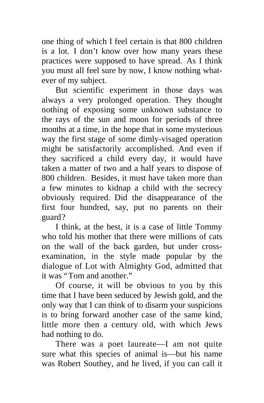one thing of which I feel certain is that 800 children is a lot. I don't know over how many years these practices were supposed to have spread. As I think you must all feel sure by now, I know nothing whatever of my subject.

But scientific experiment in those days was always a very prolonged operation. They thought nothing of exposing some unknown substance to the rays of the sun and moon for periods of three months at a time, in the hope that in some mysterious way the first stage of some dimly-visaged operation might be satisfactorily accomplished. And even if they sacrificed a child every day, it would have taken a matter of two and a half years to dispose of 800 children. Besides, it must have taken more than a few minutes to kidnap a child with the secrecy obviously required. Did the disappearance of the first four hundred, say, put no parents on their guard?

I think, at the best, it is a case of little Tommy who told his mother that there were millions of cats on the wall of the back garden, but under crossexamination, in the style made popular by the dialogue of Lot with Almighty God, admitted that it was "Tom and another."

Of course, it will be obvious to you by this time that I have been seduced by Jewish gold, and the only way that I can think of to disarm your suspicions is to bring forward another case of the same kind, little more then a century old, with which Jews had nothing to do.

There was a poet laureate—I am not quite sure what this species of animal is—but his name was Robert Southey, and he lived, if you can call it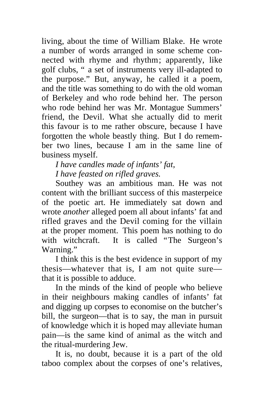living, about the time of William Blake. He wrote a number of words arranged in some scheme connected with rhyme and rhythm; apparently, like golf clubs, " a set of instruments very ill-adapted to the purpose." But, anyway, he called it a poem, and the title was something to do with the old woman of Berkeley and who rode behind her. The person who rode behind her was Mr. Montague Summers' friend, the Devil. What she actually did to merit this favour is to me rather obscure, because I have forgotten the whole beastly thing. But I do remember two lines, because I am in the same line of business myself.

*I have candles made of infants' fat,* 

*I have feasted on rifled graves.* 

Southey was an ambitious man. He was not content with the brilliant success of this masterpeice of the poetic art. He immediately sat down and wrote *another* alleged poem all about infants' fat and rifled graves and the Devil coming for the villain at the proper moment. This poem has nothing to do with witchcraft. It is called "The Surgeon's Warning."

I think this is the best evidence in support of my thesis—whatever that is, I am not quite sure that it is possible to adduce.

In the minds of the kind of people who believe in their neighbours making candles of infants' fat and digging up corpses to economise on the butcher's bill, the surgeon—that is to say, the man in pursuit of knowledge which it is hoped may alleviate human pain—is the same kind of animal as the witch and the ritual-murdering Jew.

It is, no doubt, because it is a part of the old taboo complex about the corpses of one's relatives,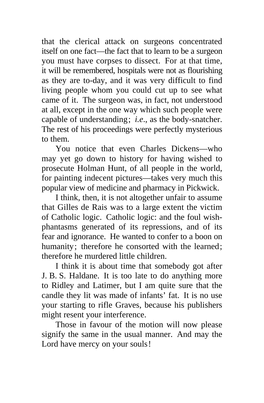that the clerical attack on surgeons concentrated itself on one fact—the fact that to learn to be a surgeon you must have corpses to dissect. For at that time, it will be remembered, hospitals were not as flourishing as they are to-day, and it was very difficult to find living people whom you could cut up to see what came of it. The surgeon was, in fact, not understood at all, except in the one way which such people were capable of understanding; *i.e*., as the body-snatcher. The rest of his proceedings were perfectly mysterious to them.

You notice that even Charles Dickens—who may yet go down to history for having wished to prosecute Holman Hunt, of all people in the world, for painting indecent pictures—takes very much this popular view of medicine and pharmacy in Pickwick.

I think, then, it is not altogether unfair to assume that Gilles de Rais was to a large extent the victim of Catholic logic. Catholic logic: and the foul wishphantasms generated of its repressions, and of its fear and ignorance. He wanted to confer to a boon on humanity: therefore he consorted with the learned: therefore he murdered little children.

I think it is about time that somebody got after J. B. S. Haldane. It is too late to do anything more to Ridley and Latimer, but I am quite sure that the candle they lit was made of infants' fat. It is no use your starting to rifle Graves, because his publishers might resent your interference.

Those in favour of the motion will now please signify the same in the usual manner. And may the Lord have mercy on your souls!